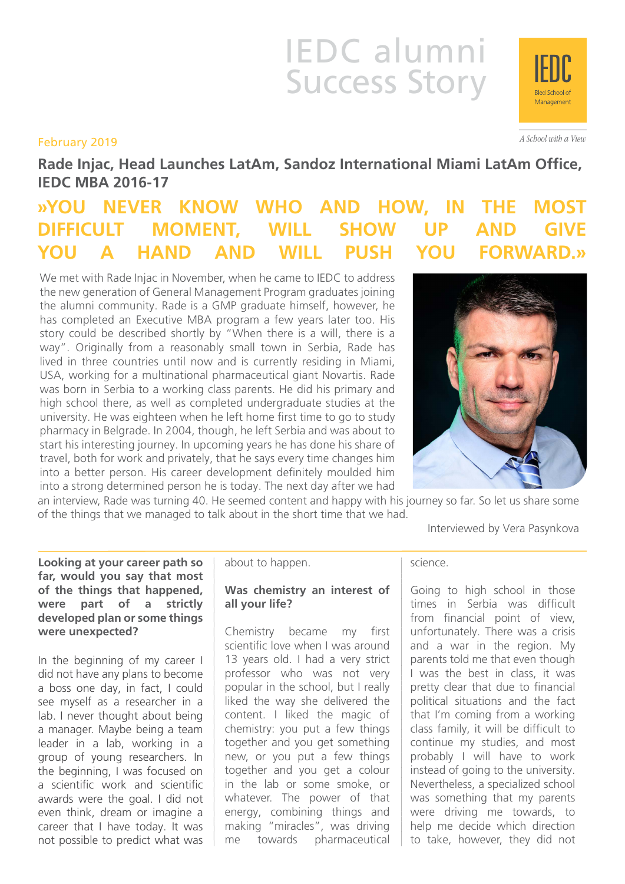# IEDC alumni Success Story

# February 2019

**Rade Injac, Head Launches LatAm, Sandoz International Miami LatAm Office, IEDC MBA 2016-17**

# **»YOU NEVER KNOW WHO AND HOW, IN THE MOST DIFFICULT MOMENT, WILL SHOW UP AND YOU A HAND AND WILL PUSH YOU FORWARD.»**

We met with Rade Injac in November, when he came to IEDC to address the new generation of General Management Program graduates joining the alumni community. Rade is a GMP graduate himself, however, he has completed an Executive MBA program a few years later too. His story could be described shortly by "When there is a will, there is a way". Originally from a reasonably small town in Serbia, Rade has lived in three countries until now and is currently residing in Miami, USA, working for a multinational pharmaceutical giant Novartis. Rade was born in Serbia to a working class parents. He did his primary and high school there, as well as completed undergraduate studies at the university. He was eighteen when he left home first time to go to study pharmacy in Belgrade. In 2004, though, he left Serbia and was about to start his interesting journey. In upcoming years he has done his share of travel, both for work and privately, that he says every time changes him into a better person. His career development definitely moulded him into a strong determined person he is today. The next day after we had



an interview, Rade was turning 40. He seemed content and happy with his journey so far. So let us share some of the things that we managed to talk about in the short time that we had.

Interviewed by Vera Pasynkova

**Looking at your career path so far, would you say that most of the things that happened, were part of a strictly developed plan or some things were unexpected?**

In the beginning of my career I did not have any plans to become a boss one day, in fact, I could see myself as a researcher in a lab. I never thought about being a manager. Maybe being a team leader in a lab, working in a group of young researchers. In the beginning, I was focused on a scientific work and scientific awards were the goal. I did not even think, dream or imagine a career that I have today. It was not possible to predict what was about to happen.

## **Was chemistry an interest of all your life?**

Chemistry became my first scientific love when I was around 13 years old. I had a very strict professor who was not very popular in the school, but I really liked the way she delivered the content. I liked the magic of chemistry: you put a few things together and you get something new, or you put a few things together and you get a colour in the lab or some smoke, or whatever. The power of that energy, combining things and making "miracles", was driving me towards pharmaceutical science.

Going to high school in those times in Serbia was difficult from financial point of view, unfortunately. There was a crisis and a war in the region. My parents told me that even though I was the best in class, it was pretty clear that due to financial political situations and the fact that I'm coming from a working class family, it will be difficult to continue my studies, and most probably I will have to work instead of going to the university. Nevertheless, a specialized school was something that my parents were driving me towards, to help me decide which direction to take, however, they did not



A School with a View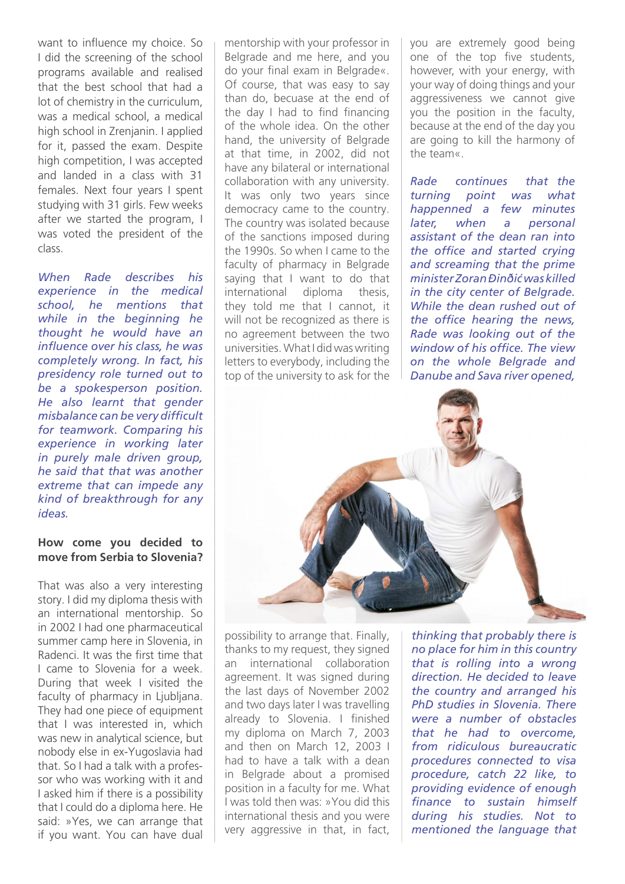want to influence my choice. So I did the screening of the school programs available and realised that the best school that had a lot of chemistry in the curriculum, was a medical school, a medical high school in Zrenjanin. I applied for it, passed the exam. Despite high competition, I was accepted and landed in a class with 31 females. Next four years I spent studying with 31 girls. Few weeks after we started the program, I was voted the president of the class.

*When Rade describes his experience in the medical school, he mentions that while in the beginning he thought he would have an influence over his class, he was completely wrong. In fact, his presidency role turned out to be a spokesperson position. He also learnt that gender misbalance can be very difficult for teamwork. Comparing his experience in working later in purely male driven group, he said that that was another extreme that can impede any kind of breakthrough for any ideas.*

#### **How come you decided to move from Serbia to Slovenia?**

That was also a very interesting story. I did my diploma thesis with an international mentorship. So in 2002 I had one pharmaceutical summer camp here in Slovenia, in Radenci. It was the first time that I came to Slovenia for a week. During that week I visited the faculty of pharmacy in Ljubljana. They had one piece of equipment that I was interested in, which was new in analytical science, but nobody else in ex-Yugoslavia had that. So I had a talk with a professor who was working with it and I asked him if there is a possibility that I could do a diploma here. He said: »Yes, we can arrange that if you want. You can have dual

mentorship with your professor in Belgrade and me here, and you do your final exam in Belgrade«. Of course, that was easy to say than do, becuase at the end of the day I had to find financing of the whole idea. On the other hand, the university of Belgrade at that time, in 2002, did not have any bilateral or international collaboration with any university. It was only two years since democracy came to the country. The country was isolated because of the sanctions imposed during the 1990s. So when I came to the faculty of pharmacy in Belgrade saying that I want to do that international diploma thesis, they told me that I cannot, it will not be recognized as there is no agreement between the two universities. What I did was writing letters to everybody, including the top of the university to ask for the

you are extremely good being one of the top five students, however, with your energy, with your way of doing things and your aggressiveness we cannot give you the position in the faculty, because at the end of the day you are going to kill the harmony of the team«.

*Rade continues that the turning point was what happenned a few minutes later, when a personal assistant of the dean ran into the office and started crying and screaming that the prime minister Zoran Đinđić was killed in the city center of Belgrade. While the dean rushed out of the office hearing the news, Rade was looking out of the window of his office. The view on the whole Belgrade and Danube and Sava river opened,* 



possibility to arrange that. Finally, thanks to my request, they signed an international collaboration agreement. It was signed during the last days of November 2002 and two days later I was travelling already to Slovenia. I finished my diploma on March 7, 2003 and then on March 12, 2003 I had to have a talk with a dean in Belgrade about a promised position in a faculty for me. What I was told then was: »You did this international thesis and you were very aggressive in that, in fact,

*thinking that probably there is no place for him in this country that is rolling into a wrong direction. He decided to leave the country and arranged his PhD studies in Slovenia. There were a number of obstacles that he had to overcome, from ridiculous bureaucratic procedures connected to visa procedure, catch 22 like, to providing evidence of enough finance to sustain himself during his studies. Not to mentioned the language that*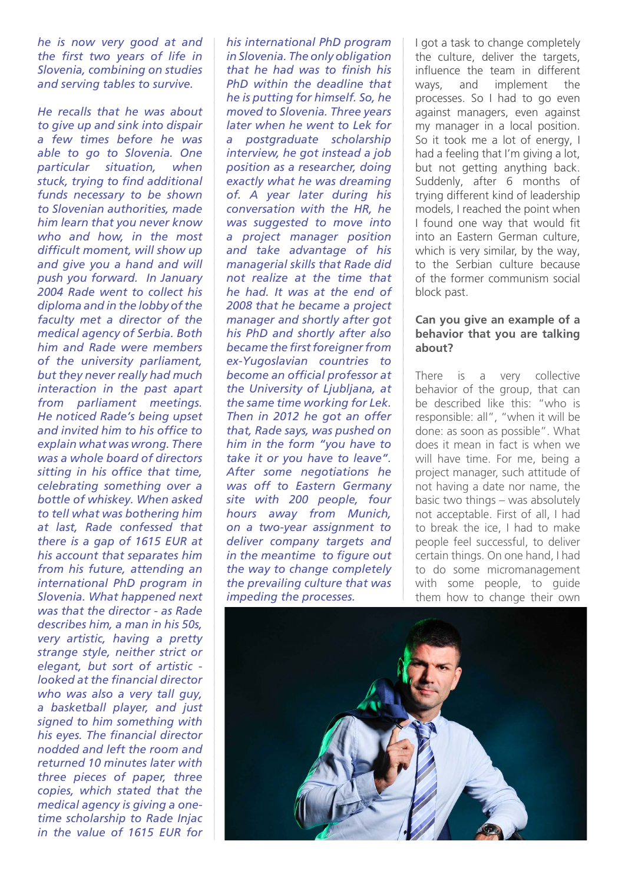*he is now very good at and the first two years of life in Slovenia, combining on studies and serving tables to survive.*

*He recalls that he was about to give up and sink into dispair a few times before he was able to go to Slovenia. One particular situation, when stuck, trying to find additional funds necessary to be shown to Slovenian authorities, made him learn that you never know who and how, in the most difficult moment, will show up and give you a hand and will push you forward. In January 2004 Rade went to collect his diploma and in the lobby of the faculty met a director of the medical agency of Serbia. Both him and Rade were members of the university parliament, but they never really had much interaction in the past apart from parliament meetings. He noticed Rade's being upset and invited him to his office to explain what was wrong. There was a whole board of directors sitting in his office that time, celebrating something over a bottle of whiskey. When asked to tell what was bothering him at last, Rade confessed that there is a gap of 1615 EUR at his account that separates him from his future, attending an international PhD program in Slovenia. What happened next was that the director - as Rade describes him, a man in his 50s, very artistic, having a pretty strange style, neither strict or elegant, but sort of artistic looked at the financial director who was also a very tall guy, a basketball player, and just signed to him something with his eyes. The financial director nodded and left the room and returned 10 minutes later with three pieces of paper, three copies, which stated that the medical agency is giving a onetime scholarship to Rade Injac in the value of 1615 EUR for* 

*his international PhD program in Slovenia. The only obligation that he had was to finish his PhD within the deadline that he is putting for himself. So, he moved to Slovenia. Three years later when he went to Lek for a postgraduate scholarship interview, he got instead a job position as a researcher, doing exactly what he was dreaming of. A year later during his conversation with the HR, he was suggested to move into a project manager position and take advantage of his managerial skills that Rade did not realize at the time that he had. It was at the end of 2008 that he became a project manager and shortly after got his PhD and shortly after also became the first foreigner from ex-Yugoslavian countries to become an official professor at the University of Ljubljana, at the same time working for Lek. Then in 2012 he got an offer that, Rade says, was pushed on him in the form "you have to take it or you have to leave". After some negotiations he was off to Eastern Germany site with 200 people, four hours away from Munich, on a two-year assignment to deliver company targets and in the meantime to figure out the way to change completely the prevailing culture that was impeding the processes.* 

I got a task to change completely the culture, deliver the targets, influence the team in different ways, and implement the processes. So I had to go even against managers, even against my manager in a local position. So it took me a lot of energy, I had a feeling that I'm giving a lot, but not getting anything back. Suddenly, after 6 months of trying different kind of leadership models, I reached the point when I found one way that would fit into an Eastern German culture, which is very similar, by the way, to the Serbian culture because of the former communism social block past.

#### **Can you give an example of a behavior that you are talking about?**

There is a very collective behavior of the group, that can be described like this: "who is responsible: all", "when it will be done: as soon as possible". What does it mean in fact is when we will have time. For me, being a project manager, such attitude of not having a date nor name, the basic two things – was absolutely not acceptable. First of all, I had to break the ice, I had to make people feel successful, to deliver certain things. On one hand, I had to do some micromanagement with some people, to guide them how to change their own

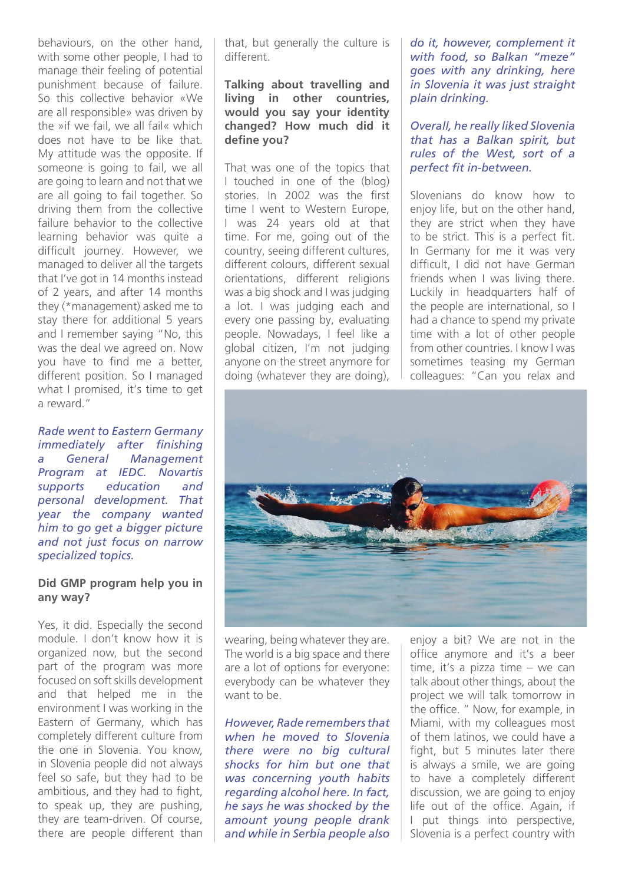behaviours, on the other hand, with some other people, I had to manage their feeling of potential punishment because of failure. So this collective behavior «We are all responsible» was driven by the »if we fail, we all fail« which does not have to be like that. My attitude was the opposite. If someone is going to fail, we all are going to learn and not that we are all going to fail together. So driving them from the collective failure behavior to the collective learning behavior was quite a difficult journey. However, we managed to deliver all the targets that I've got in 14 months instead of 2 years, and after 14 months they (\*management) asked me to stay there for additional 5 years and I remember saying "No, this was the deal we agreed on. Now you have to find me a better, different position. So I managed what I promised, it's time to get a reward."

*Rade went to Eastern Germany immediately after finishing a General Management Program at IEDC. Novartis supports education and personal development. That year the company wanted him to go get a bigger picture and not just focus on narrow specialized topics.*

#### **Did GMP program help you in any way?**

Yes, it did. Especially the second module. I don't know how it is organized now, but the second part of the program was more focused on soft skills development and that helped me in the environment I was working in the Eastern of Germany, which has completely different culture from the one in Slovenia. You know, in Slovenia people did not always feel so safe, but they had to be ambitious, and they had to fight, to speak up, they are pushing, they are team-driven. Of course, there are people different than that, but generally the culture is different.

### **Talking about travelling and living in other countries, would you say your identity changed? How much did it define you?**

That was one of the topics that I touched in one of the (blog) stories. In 2002 was the first time I went to Western Europe, I was 24 years old at that time. For me, going out of the country, seeing different cultures, different colours, different sexual orientations, different religions was a big shock and I was judging a lot. I was judging each and every one passing by, evaluating people. Nowadays, I feel like a global citizen, I'm not judging anyone on the street anymore for doing (whatever they are doing),

*do it, however, complement it with food, so Balkan "meze" goes with any drinking, here in Slovenia it was just straight plain drinking.*

*Overall, he really liked Slovenia that has a Balkan spirit, but rules of the West, sort of a perfect fit in-between.* 

Slovenians do know how to enjoy life, but on the other hand, they are strict when they have to be strict. This is a perfect fit. In Germany for me it was very difficult, I did not have German friends when I was living there. Luckily in headquarters half of the people are international, so I had a chance to spend my private time with a lot of other people from other countries. I know I was sometimes teasing my German colleagues: "Can you relax and



wearing, being whatever they are. The world is a big space and there are a lot of options for everyone: everybody can be whatever they want to be.

*However, Rade remembers that when he moved to Slovenia there were no big cultural shocks for him but one that was concerning youth habits regarding alcohol here. In fact, he says he was shocked by the amount young people drank and while in Serbia people also* 

enjoy a bit? We are not in the office anymore and it's a beer time, it's a pizza time – we can talk about other things, about the project we will talk tomorrow in the office. " Now, for example, in Miami, with my colleagues most of them latinos, we could have a fight, but 5 minutes later there is always a smile, we are going to have a completely different discussion, we are going to enjoy life out of the office. Again, if I put things into perspective, Slovenia is a perfect country with